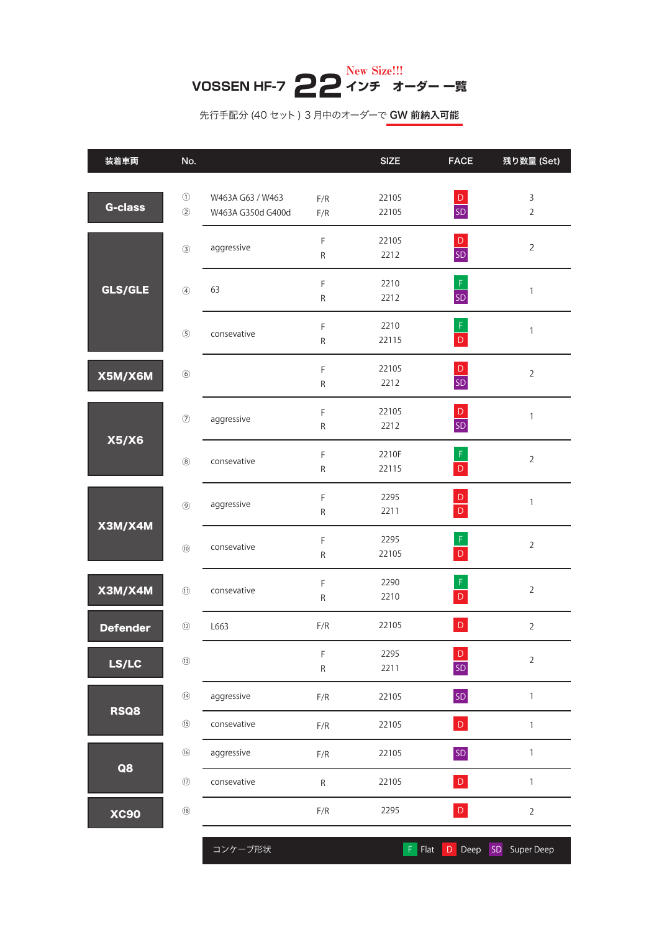## **VOSSEN HF-7 22 インチ オーダー 一覧** New Size!!!

## 先行手配分 (40 セット) 3 月中のオーダーで GW 前納入可能

| 装着車両            | No.                                                     |                                       |                             | <b>SIZE</b>    | <b>FACE</b>                 | 残り数量 (Set)                    |
|-----------------|---------------------------------------------------------|---------------------------------------|-----------------------------|----------------|-----------------------------|-------------------------------|
| <b>G-class</b>  | $\circled{1}$<br>$\circled{2}$                          | W463A G63 / W463<br>W463A G350d G400d | F/R<br>F/R                  | 22105<br>22105 | $rac{D}{SD}$                | $\mathsf 3$<br>$\overline{2}$ |
| GLS/GLE         | $\circled{3}$                                           | aggressive                            | $\mathsf F$<br>${\sf R}$    | 22105<br>2212  | $\mathsf D$<br>SD           | $\overline{2}$                |
|                 | $\circledA$                                             | 63                                    | $\mathsf F$<br>$\mathsf{R}$ | 2210<br>2212   | $\mathsf F$<br><b>SD</b>    | $\mathbf{1}$                  |
|                 | $\circledS$                                             | consevative                           | $\mathsf F$<br>${\sf R}$    | 2210<br>22115  | $\frac{F}{D}$               | $\mathbf{1}$                  |
| X5M/X6M         | $\circledast$                                           |                                       | $\mathsf F$<br>${\sf R}$    | 22105<br>2212  | $\mathsf D$<br>SD           | $\sqrt{2}$                    |
| X5/X6           | $\circledcirc$                                          | aggressive                            | $\mathsf F$<br>${\sf R}$    | 22105<br>2212  | $\mathsf D$<br>SD           | $\mathbf{1}$                  |
|                 | $^\circledR$                                            | consevative                           | $\mathsf F$<br>${\sf R}$    | 2210F<br>22115 | $\mathsf{F}$<br>$\mathsf D$ | $\overline{2}$                |
| X3M/X4M         | $\circledS$                                             | aggressive                            | $\mathsf F$<br>${\sf R}$    | 2295<br>2211   | $\mathsf D$<br>$\mathsf D$  | $\mathbf{1}$                  |
|                 | $\circledR$                                             | consevative                           | $\mathsf F$<br>${\sf R}$    | 2295<br>22105  | $\mathsf F$<br>$\mathsf D$  | $\overline{2}$                |
| X3M/X4M         | $\textcircled{\scriptsize{1}}$                          | consevative                           | $\mathsf F$<br>${\sf R}$    | 2290<br>2210   | $\mathsf F$<br>$\mathsf D$  | $\overline{2}$                |
| <b>Defender</b> | $\begin{array}{c} \textcircled{\small{12}} \end{array}$ | L663                                  | F/R                         | 22105          | $\mathsf D$                 | $\overline{2}$                |
| LS/LC           | $\textcircled{\scriptsize{13}}$                         |                                       | $\mathsf F$<br>${\sf R}$    | 2295<br>2211   | $\mathsf D$<br>SD           | $\overline{2}$                |
| <b>RSQ8</b>     | $\textcircled{\scriptsize{14}}$                         | aggressive                            | $\mathsf{F}/\mathsf{R}$     | 22105          | SD                          | $\mathbf{1}$                  |
|                 | $\circledR$                                             | consevative                           | $\mathsf{F}/\mathsf{R}$     | 22105          | $\mathsf D$                 | $\mathbbm{1}$                 |
| Q8              | $\circledR$                                             | aggressive                            | $\mathsf{F}/\mathsf{R}$     | 22105          | SD                          | $\mathbbm{1}$                 |
|                 | $\textcircled{\small{1}}$                               | consevative                           | ${\sf R}$                   | 22105          | $\mathsf D$                 | $\mathbf{1}$                  |
| <b>XC90</b>     | $\textcircled{\scriptsize{18}}$                         |                                       | $\mathsf{F}/\mathsf{R}$     | 2295           | $\mathsf D$                 | $\overline{2}$                |

コンケーブ形状 F Flat D Deep SD Super Deep